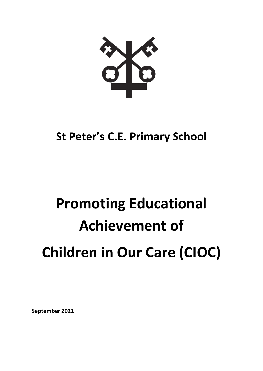

# **St Peter's C.E. Primary School**

# **Promoting Educational Achievement of Children in Our Care (CIOC)**

**September 2021**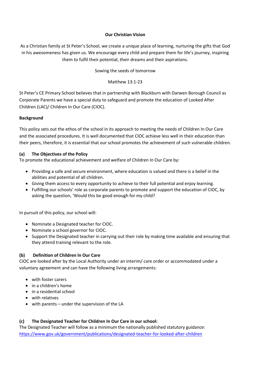#### **Our Christian Vision**

As a Christian family at St Peter's School, we create a unique place of learning, nurturing the gifts that God in his awesomeness has given us. We encourage every child and prepare them for life's journey, inspiring them to fulfil their potential, their dreams and their aspirations.

# Sowing the seeds of tomorrow

Matthew 13:1-23

St Peter's CE Primary School believes that in partnership with Blackburn with Darwen Borough Council as Corporate Parents we have a special duty to safeguard and promote the education of Looked After Children (LAC)/ Children In Our Care (CIOC).

#### **Background**

This policy sets out the ethos of the school in its approach to meeting the needs of Children In Our Care and the associated procedures. It is well documented that CIOC achieve less well in their education than their peers, therefore, it is essential that our school promotes the achievement of such vulnerable children.

# **(a) The Objectives of the Policy**

To promote the educational achievement and welfare of Children In Our Care by:

- Providing a safe and secure environment, where education is valued and there is a belief in the abilities and potential of all children.
- Giving them access to every opportunity to achieve to their full potential and enjoy learning.
- Fulfilling our schools' role as corporate parents to promote and support the education of CIOC, by asking the question, 'Would this be good enough for my child?

In pursuit of this policy, our school will:

- Nominate a Designated teacher for CIOC.
- Nominate a school governor for CIOC.
- Support the Designated teacher in carrying out their role by making time available and ensuring that they attend training relevant to the role.

# **(b) Definition of Children In Our Care**

CIOC are looked after by the Local Authority under an interim/ care order or accommodated under a voluntary agreement and can have the following living arrangements:

- with foster carers
- in a children's home
- in a residential school
- with relatives
- with parents under the supervision of the LA

# **(c) The Designated Teacher for Children In Our Care in our school:**

The Designated Teacher will follow as a minimum the nationally published statutory guidance: <https://www.gov.uk/government/publications/designated-teacher-for-looked-after-children>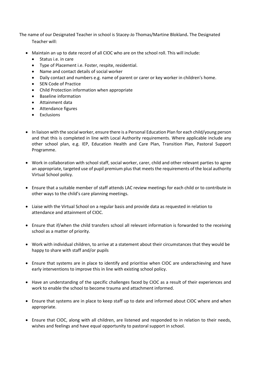The name of our Designated Teacher in school is Stacey-Jo Thomas/Martine Blokland**.** The Designated

Teacher will:

- Maintain an up to date record of all CIOC who are on the school roll. This will include:
	- Status i.e. in care
	- Type of Placement i.e. Foster, respite, residential.
	- Name and contact details of social worker
	- Daily contact and numbers e.g. name of parent or carer or key worker in children's home.
	- **•** SEN Code of Practice
	- Child Protection information when appropriate
	- Baseline information
	- Attainment data
	- Attendance figures
	- Exclusions
- In liaison with the social worker, ensure there is a Personal Education Plan for each child/young person and that this is completed in line with Local Authority requirements. Where applicable include any other school plan, e.g. IEP, Education Health and Care Plan, Transition Plan, Pastoral Support Programme.
- Work in collaboration with school staff, social worker, carer, child and other relevant parties to agree an appropriate, targeted use of pupil premium plus that meets the requirements of the local authority Virtual School policy.
- Ensure that a suitable member of staff attends LAC review meetings for each child or to contribute in other ways to the child's care planning meetings.
- Liaise with the Virtual School on a regular basis and provide data as requested in relation to attendance and attainment of CIOC.
- Ensure that if/when the child transfers school all relevant information is forwarded to the receiving school as a matter of priority.
- Work with individual children, to arrive at a statement about their circumstances that they would be happy to share with staff and/or pupils
- Ensure that systems are in place to identify and prioritise when CIOC are underachieving and have early interventions to improve this in line with existing school policy.
- Have an understanding of the specific challenges faced by CIOC as a result of their experiences and work to enable the school to become trauma and attachment informed.
- Ensure that systems are in place to keep staff up to date and informed about CIOC where and when appropriate.
- Ensure that CIOC, along with all children, are listened and responded to in relation to their needs, wishes and feelings and have equal opportunity to pastoral support in school.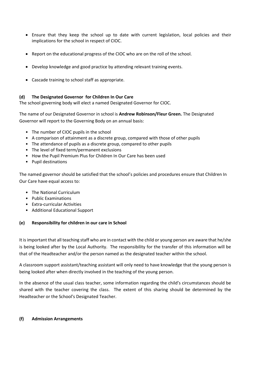- Ensure that they keep the school up to date with current legislation, local policies and their implications for the school in respect of CIOC.
- Report on the educational progress of the CIOC who are on the roll of the school.
- Develop knowledge and good practice by attending relevant training events.
- Cascade training to school staff as appropriate.

# **(d) The Designated Governor for Children In Our Care**

The school governing body will elect a named Designated Governor for CIOC.

The name of our Designated Governor in school is **Andrew Robinson/Fleur Green.** The Designated Governor will report to the Governing Body on an annual basis:

- The number of CIOC pupils in the school
- A comparison of attainment as a discrete group, compared with those of other pupils
- The attendance of pupils as a discrete group, compared to other pupils
- The level of fixed term/permanent exclusions
- How the Pupil Premium Plus for Children In Our Care has been used
- Pupil destinations

The named governor should be satisfied that the school's policies and procedures ensure that Children In Our Care have equal access to:

- The National Curriculum
- Public Examinations
- Extra-curricular Activities
- Additional Educational Support

# **(e) Responsibility for children in our care in School**

It is important that all teaching staff who are in contact with the child or young person are aware that he/she is being looked after by the Local Authority. The responsibility for the transfer of this information will be that of the Headteacher and/or the person named as the designated teacher within the school.

A classroom support assistant/teaching assistant will only need to have knowledge that the young person is being looked after when directly involved in the teaching of the young person.

In the absence of the usual class teacher, some information regarding the child's circumstances should be shared with the teacher covering the class. The extent of this sharing should be determined by the Headteacher or the School's Designated Teacher.

# **(f) Admission Arrangements**